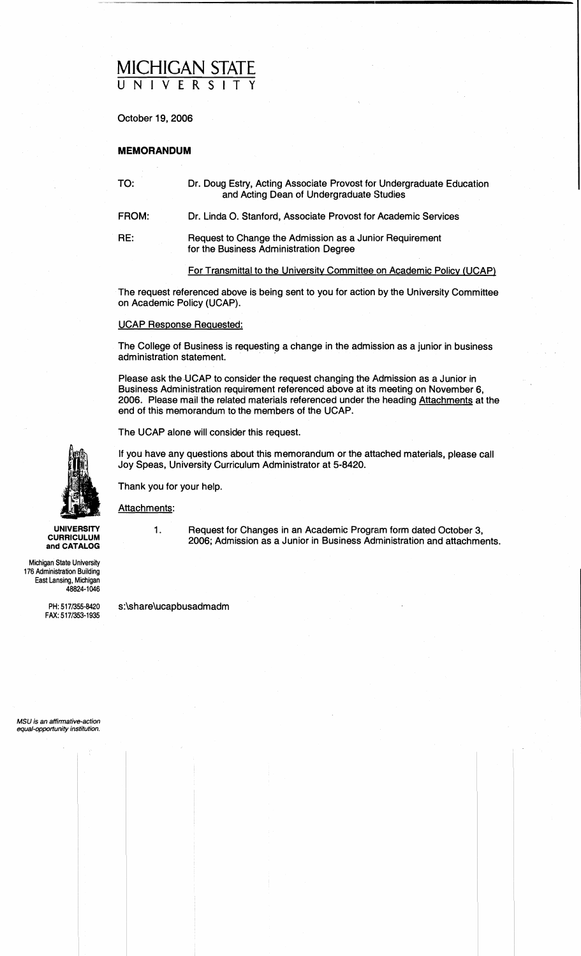# <u>MICHIGAN STATE</u> **UNIVERSITY**

October 19,2006

### **MEMORANDUM**

TO: Dr. Doug Estry, Acting Associate Provost for Undergraduate Education and Acting Dean of Undergraduate Studies

FROM: Dr. Linda 0. Stanford. Associate Provost for Academic Services

RE: Request to Change the Admission as a Junior Requirement for the Business Administration Degree

For Transmittal to the Universitv Committee on Academic Policv (UCAP)

The request referenced above is being sent to you for action by the University Committee on Academic Policy (UCAP).

### UCAP Response Requested:

The College of Business is requesting a change in the admission as a junior in business administration statement.

Please ask the UCAP to consider the request changing the Admission as a Junior in Business Administration requirement referenced above at its meeting on November 6, 2006. Please mail the related materials referenced under the heading Attachments at the end of this memorandum to the members of the UCAP.

The UCAP alone will consider this request.

If you have any questions about this memorandum or the attached materials, please call Joy Speas, University Curriculum Administrator at 5-8420.

Thank you for your help.

Attachments:

UNIVERSITY 1. Request for Changes in an Academic Program form dated October 3,<br>CURRICULUM 2006; Admission as a Junior in Business Administration and attachme<br>and CATALOG **and CATALOG** 2006; Admission as a Junior in Business Administration and attachments.

Michigan State University 176 Administration Building East Lansing, Michigan 48824-1046

FAX: 517/353-1935

PH: 517/355-8420 s:\share\ucapbusadmadm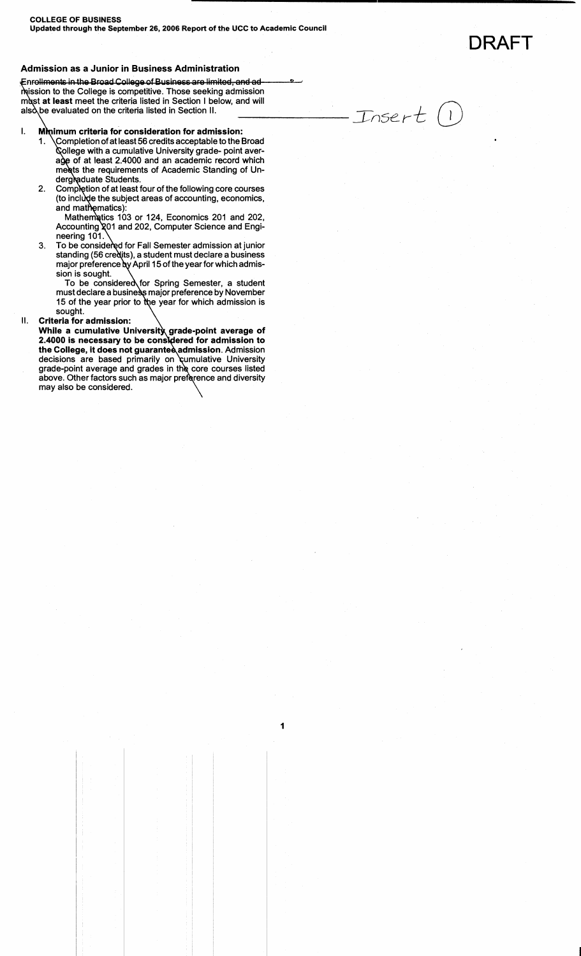DRAFT

Insert

 $\left( \begin{array}{c} \end{array} \right)$ 

### **Admission as a Junior in Business Administration**

Enrollments in the Broad College of Business are limited, and admission to the College is competitive. Those seeking admission must at least meet the criteria listed in Section I below, and will also be evaluated on the criteria listed in Section II.

#### Mmimum criteria for consideration for admission: I.

- $\setminus$ Completion of at least 56 credits acceptable to the Broad 1. College with a cumulative University grade- point average of at least 2.4000 and an academic record which meets the requirements of Academic Standing of Un-<br>dergladuate Students.
- Completion of at least four of the following core courses 2. (to include the subject areas of accounting, economics, and mathematics):

Mathematics 103 or 124, Economics 201 and 202, Accounting 201 and 202, Computer Science and Engineering 101.

To be considered for Fall Semester admission at junior З. standing (56 credits), a student must declare a business major preference by April 15 of the year for which admission is sought.

To be considered for Spring Semester, a student must declare a business major preference by November 15 of the year prior to the year for which admission is sought.

### II. **Criteria for admission:**

While a cumulative University grade-point average of 2.4000 is necessary to be considered for admission to<br>the College, it does not guarantee admission. Admission decisions are based primarily on cumulative University grade-point average and grades in the core courses listed above. Other factors such as major preference and diversity may also be considered.

1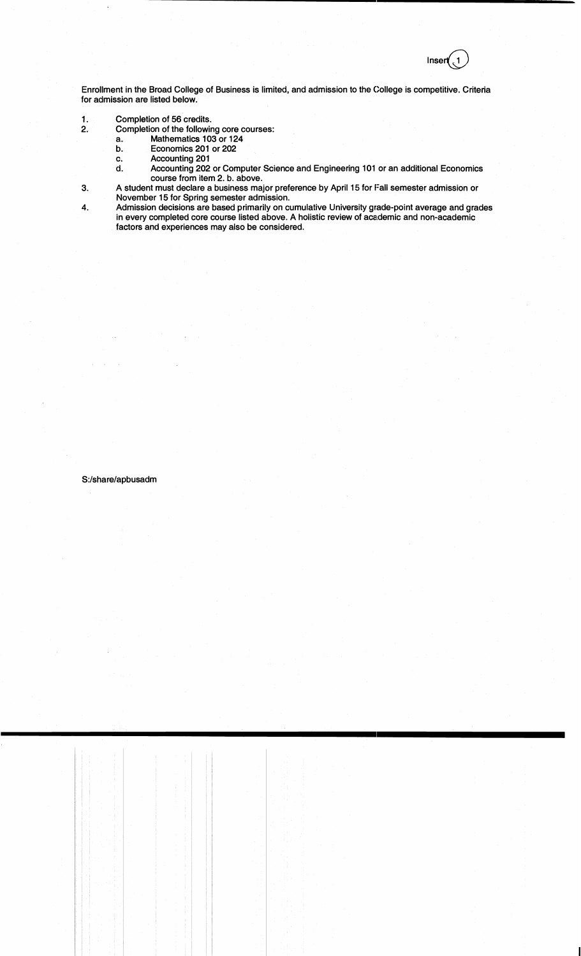Inser

Enrollment in the Broad College of Business is limited, and admission to the College is competitive. Criteria for admission are listed below.

- 1. Completion of 56 credits.<br>2. Completion of the followir
	- 2. Completion of the following core courses:
		- a. Mathematics 103 or 124<br>b. Economics 201 or 202
		- b. Economics 201 or 202<br>c. Accounting 201
		- Accounting 201
		- d. Accounting 202 or Computer Science and Engineering 101 or an additional Economics course from item 2. b. above.
- **3.** A student must declare a business major preference by April 15 for Fall semester admission or November 15 for Spring semester admission.
- **4.** Admission decisions are based primarily on cumulative University grade-point average and grades in every completed core course listed above. A holistic review of academic and non-academic factors and experiences may also be considered.

#### S:/share/apbusadm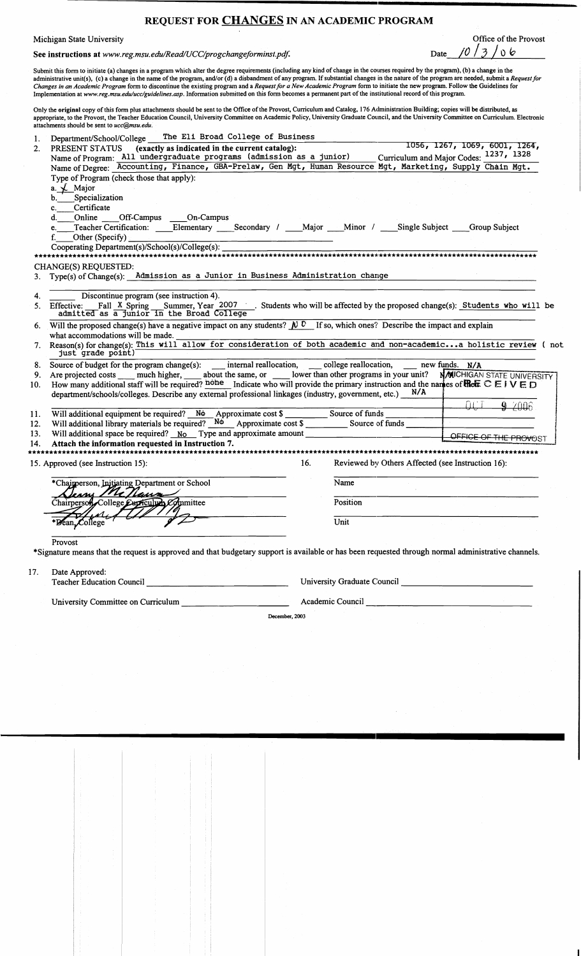## **REQUEST FOR CHANGES IN AN ACADEMIC PROGRAM**

Michigan State University<br>See instructions at *www.reg.msu.edu/Read/UCC/progchangeforminst.pdf.* Date  $\sqrt{0}/3$  of  $\sqrt{0}/3$ 

See instructions at **www.reg.msu.edu/Read/UCC/progchangeforminst.pd\$** Date **/C)** / *3* / 0 **<sup>6</sup>**

Submit this form to initiate (a) changes in a program which alter the degree requirements (including any kind of change in the courses required by the program), (b) a change in the administrative unit(s), (c) a change in the name of the program, andlor (d) a disbandment of any program. If substantial changes in the nature of the program are needed, submit a *Requestfor Changes in an Academic Program* form to discontinue the existing program and a *Request for o New Academic Program* form to initiate the new program. Follow the Guidelines for Implementation at **www.reg.msu.e&/ucc/guidelines.mp.** Information submitted on this form becomes a permanent part of the institutional record of this program.

Only the original copy of this form plus attachments should be sent to the Office of the Provost, Curriculum and Catalog, 176 Administration Building; copies will be distributed, as appropriate, to the Provost, the Teacher Education Council, University Committee on Academic Policy, University Graduate Council, and the University Committee on Curriculum. Electronic attachments should be sent to *ucc@msu.edu.* 

| 1.  | The Eli Broad College of Business<br>Department/School/College                                                                                                                     |                                                                                                                                          |                          |                                                   |                   |                       |  |
|-----|------------------------------------------------------------------------------------------------------------------------------------------------------------------------------------|------------------------------------------------------------------------------------------------------------------------------------------|--------------------------|---------------------------------------------------|-------------------|-----------------------|--|
| 2.  | 1056, 1267, 1069, 6001, 1264,<br>PRESENT STATUS (exactly as indicated in the current catalog):                                                                                     |                                                                                                                                          |                          |                                                   |                   |                       |  |
|     | Curriculum and Major Codes: 1237, 1328<br>Name of Program: All undergraduate programs (admission as a junior)                                                                      |                                                                                                                                          |                          |                                                   |                   |                       |  |
|     | Name of Degree: Accounting, Finance, GBA-Prelaw, Gen Mgt, Human Resource Mgt, Marketing, Supply Chain Mgt.                                                                         |                                                                                                                                          |                          |                                                   |                   |                       |  |
|     | Type of Program (check those that apply):                                                                                                                                          |                                                                                                                                          |                          |                                                   |                   |                       |  |
|     | a. L Major                                                                                                                                                                         |                                                                                                                                          |                          |                                                   |                   |                       |  |
|     | b. Specialization                                                                                                                                                                  |                                                                                                                                          |                          |                                                   |                   |                       |  |
|     | Certificate<br>$\mathbf{c}$ .                                                                                                                                                      |                                                                                                                                          |                          |                                                   |                   |                       |  |
|     | d. Online Off-Campus On-Campus                                                                                                                                                     |                                                                                                                                          |                          |                                                   |                   |                       |  |
|     | e.                                                                                                                                                                                 |                                                                                                                                          |                          |                                                   |                   |                       |  |
|     | Other (Specify)<br>f.                                                                                                                                                              |                                                                                                                                          |                          |                                                   |                   |                       |  |
|     |                                                                                                                                                                                    |                                                                                                                                          |                          |                                                   |                   |                       |  |
|     | **************************                                                                                                                                                         |                                                                                                                                          |                          |                                                   |                   |                       |  |
|     | CHANGE(S) REQUESTED:                                                                                                                                                               |                                                                                                                                          |                          |                                                   |                   |                       |  |
| 3.  | Type(s) of Change(s): Admission as a Junior in Business Administration change                                                                                                      |                                                                                                                                          |                          |                                                   |                   |                       |  |
|     |                                                                                                                                                                                    |                                                                                                                                          |                          |                                                   |                   |                       |  |
| 4.  | Discontinue program (see instruction 4).                                                                                                                                           |                                                                                                                                          |                          |                                                   |                   |                       |  |
|     | 5. Effective: Fall X Spring Summer, Year 2007 Students who will be affected by the proposed change(s): Students who will be admitted as a Junior in the Broad College              |                                                                                                                                          |                          |                                                   |                   |                       |  |
|     |                                                                                                                                                                                    |                                                                                                                                          |                          |                                                   |                   |                       |  |
|     | 6. Will the proposed change(s) have a negative impact on any students? $\mathbb{N}^{\mathbb{C}}$ If so, which ones? Describe the impact and explain                                |                                                                                                                                          |                          |                                                   |                   |                       |  |
|     | what accommodations will be made.                                                                                                                                                  |                                                                                                                                          |                          |                                                   |                   |                       |  |
|     | 7. Reason(s) for change(s): This will allow for consideration of both academic and non-academica holistic review (not<br>just grade point)                                         |                                                                                                                                          |                          |                                                   |                   |                       |  |
|     | 8. Source of budget for the program change(s): internal reallocation, ____ college reallocation, ____ new funds. N/A                                                               |                                                                                                                                          |                          |                                                   |                   |                       |  |
| 9.  | Are projected costs _____ much higher, ______ about the same, or _______ lower than other programs in your unit? NMICHIGAN STATE UNIVERSITY                                        |                                                                                                                                          |                          |                                                   |                   |                       |  |
| 10. | How many additional staff will be required? home Indicate who will provide the primary instruction and the names of <b>Ref</b> $\subseteq$ $\mathbb{F} \setminus \subseteq$ $\Box$ |                                                                                                                                          |                          |                                                   |                   |                       |  |
|     | department/schools/colleges. Describe any external professional linkages (industry, government, etc.) $N/A$                                                                        |                                                                                                                                          |                          |                                                   |                   |                       |  |
|     |                                                                                                                                                                                    |                                                                                                                                          |                          |                                                   | $\Omega \Gamma T$ | 9,700                 |  |
| 11. |                                                                                                                                                                                    |                                                                                                                                          |                          |                                                   |                   |                       |  |
| 12. | Will additional library materials be required? $N\ddot{o}$ Approximate cost \$ Source of funds                                                                                     |                                                                                                                                          |                          |                                                   |                   |                       |  |
| 13. | Will additional space be required? $No$ Type and approximate amount $\Box$                                                                                                         |                                                                                                                                          |                          |                                                   |                   | OFFICE OF THE PROVOST |  |
| 14. | Attach the information requested in Instruction 7.                                                                                                                                 |                                                                                                                                          |                          |                                                   |                   |                       |  |
|     |                                                                                                                                                                                    |                                                                                                                                          |                          |                                                   |                   |                       |  |
|     | 15. Approved (see Instruction 15):                                                                                                                                                 | 16.                                                                                                                                      |                          | Reviewed by Others Affected (see Instruction 16): |                   |                       |  |
|     |                                                                                                                                                                                    |                                                                                                                                          |                          |                                                   |                   |                       |  |
|     | *Chairperson, Initiating Department or School                                                                                                                                      |                                                                                                                                          | Name                     |                                                   |                   |                       |  |
|     | Denny Mc Naua                                                                                                                                                                      |                                                                                                                                          |                          |                                                   |                   |                       |  |
|     | Chairperson College Cupriculum Committee                                                                                                                                           |                                                                                                                                          | Position                 |                                                   |                   |                       |  |
|     | *Bean, College                                                                                                                                                                     |                                                                                                                                          |                          |                                                   |                   |                       |  |
|     |                                                                                                                                                                                    |                                                                                                                                          | $\overline{\text{Unit}}$ |                                                   |                   |                       |  |
|     |                                                                                                                                                                                    |                                                                                                                                          |                          |                                                   |                   |                       |  |
|     | Provost                                                                                                                                                                            |                                                                                                                                          |                          |                                                   |                   |                       |  |
|     | *Signature means that the request is approved and that budgetary support is available or has been requested through normal administrative channels.                                |                                                                                                                                          |                          |                                                   |                   |                       |  |
|     |                                                                                                                                                                                    |                                                                                                                                          |                          |                                                   |                   |                       |  |
| 17. | Date Approved:                                                                                                                                                                     |                                                                                                                                          |                          |                                                   |                   |                       |  |
|     | Teacher Education Council                                                                                                                                                          |                                                                                                                                          |                          |                                                   |                   |                       |  |
|     |                                                                                                                                                                                    |                                                                                                                                          |                          |                                                   |                   |                       |  |
|     | University Committee on Curriculum                                                                                                                                                 | Academic Council<br><u> 1980 - John Stein, markin film ar yn y brenin y brenin y brenin y brenin y brenin y brenin y brenin y brenin</u> |                          |                                                   |                   |                       |  |
|     | December, 2003                                                                                                                                                                     |                                                                                                                                          |                          |                                                   |                   |                       |  |
|     |                                                                                                                                                                                    |                                                                                                                                          |                          |                                                   |                   |                       |  |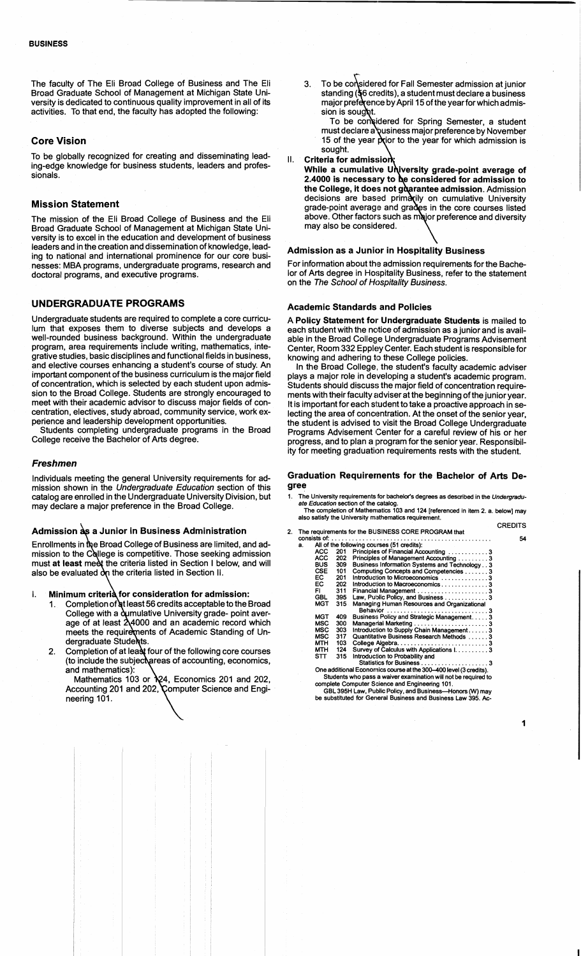The faculty of The Eli Broad College of Business and The Eli Broad Graduate School of Management at Michigan State University is dedicated to continuous quality improvement in all of its activities. To that end, the faculty has adopted the following:

#### **Core Vision**

To be globally recognized for creating and disseminating leading-edge knowledge for business students, leaders and professionals.

#### **Mission Statement**

The mission of the Eli Broad College of Business and the Eli Broad Graduate School of Management at Michigan State University is to excel in the education and development of business leaders and in the creation and dissemination of knowledge, leading to national and international prominence for our core businesses: MBA programs, undergraduate programs, research and doctoral programs, and executive programs.

### **UNDERGRADUATE PROGRAMS**

Undergraduate students are required to complete a core curriculum that exposes them to diverse subjects and develops a well-rounded business background. Within the undergraduate program, area requirements include writing, mathematics, integrative studies, basic disciplines and functional fields in business, and elective courses enhancing a student's course of study. An important component of the business curriculum is the major field of concentration, which is selected by each student upon admission to the Broad College. Students are strongly encouraged to meet with their academic advisor to discuss major fields of concentration, electives, study abroad, community service, work experience and leadership development opportunities.

Students completing undergraduate programs in the Broad College receive the Bachelor of Arts degree.

#### **Freshmen**

Individuals meeting the general University requirements for admission shown in the Undergraduate Education section of this catalog are enrolled in the Undergraduate University Division, but may declare a major preference in the Broad College.

### Admission as a Junior in Business Administration

Enrollments in the Broad College of Business are limited, and admission to the College is competitive. Those seeking admission must at least meet the criteria listed in Section I below, and will also be evaluated  $\partial_{\Omega}$  the criteria listed in Section II.

Minimum criterià for consideration for admission: Ι.

- Completion of at least 56 credits acceptable to the Broad  $1_{-}$ College with a dumulative University grade- point average of at least  $24000$  and an academic record which meets the requirements of Academic Standing of Undergraduate Students.
- Completion of at least four of the following core courses  $2.$ (to include the subjectureas of accounting, economics, and mathematics):<br>Mathematics 103 or  $\chi$ 4, Economics 201 and 202,

Accounting 201 and 202, Computer Science and Engineering 101.

To be considered for Fall Semester admission at junior  $\mathbf{3}$ standing (§6 credits), a student must declare a business major preference by April 15 of the year for which admission is sought.

To be considered for Spring Semester, a student must declare a business major preference by November 15 of the year prior to the year for which admission is sought.

#### $\mathbf{II}$ Criteria for admission

While a cumulative University grade-point average of 2.4000 is necessary to be considered for admission to the College, it does not guarantee admission. Admission<br>decisions are based primarily on cumulative University grade-point average and grades in the core courses listed shove. Other factors such as major preference and diversity<br>may also be considered.

#### **Admission as a Junior in Hospitality Business**

For information about the admission requirements for the Bachelor of Arts degree in Hospitality Business, refer to the statement on the The School of Hospitality Business.

#### **Academic Standards and Policies**

A **Policy Statement for Undergraduate Students** is mailed to each student with the notice of admission as a junior and is available in the Broad College Undergraduate Programs Advisement Center, Room 332 Eppley Center. Each student is responsible for knowing and adhering to these College policies.

In the Broad College, the student's faculty academic adviser plays a major role in developing a student's academic program. Students should discuss the major field of concentration requirements with their faculty adviser at the beginning of the junior year. It is important for each student to take a proactive approach in selecting the area of concentration. At the onset of the senior year, the student is advised to visit the Broad College Undergraduate Programs Advisement Center for a careful review of his or her progress, and to plan a program for the senior year. Responsibility for meeting graduation requirements rests with the student.

#### **Graduation Requirements for the Bachelor of Arts Degree**

1. The University requirements for bachelor's degrees as described in the Undergraduate Education section of the catalog.

The completion of Mathematics 103 and 124 [referenced in item 2. a. below] may also satisfy the University mathematics requirement.

- CREDITS 2. The requirements for the BUSINESS CORE PROGRAM that wnsistsof: ............................................... 54
	- All of the following courses (51 credits):<br>ACC 201 Principles of Financial Acc<br>ACC 202 Principles of Management ACC 201 Principles of Financial Accounting ................3<br>ACC 202 Principles of Management Accounting ...........3 BUS 309 Busines:, Information Systems and Technology. . 3 CSE 101 Computing Concepts and Competencies ...... .3 EC 201 Introduction to Microeconomics ............. .3 EC 202 lntroducltion to Macroeconomics. ............ .3 FI 31 1 Financial Management .................... .3 GBL 395 Law. Pulgic Policy, and Business. ........... .3 MGT 315 Managing Human Resources and Organizational<br>MGT 452 5 Behavior Behavior .............................. 3 MGT 409 Business Policy and Strategic Management. .... 3 MSC 300 Managelrial Marketing.. ................... .3 MSC 303 lntroducltion to Supply Chain Management. .... .3 MSC 317 Quantitative Business Research Methods ..... .3 MTH 103 College Algebra.. ........................ .3 MTH 124 Survey **tf** Calculus with Applications 1. ......... 3 ST 315 Introduction to Probability and Statislics for Business. .................. .3 One additional Economics courseatthe 300-400 level (3 credits).

Students who pass a waiver examination will not be required to complete Computer Science and Engineering 101.

GBL 395H Law. Public Pdicy, and Business--Honors (W) may be substituted for General Business and Business Law 395. Ac-

1